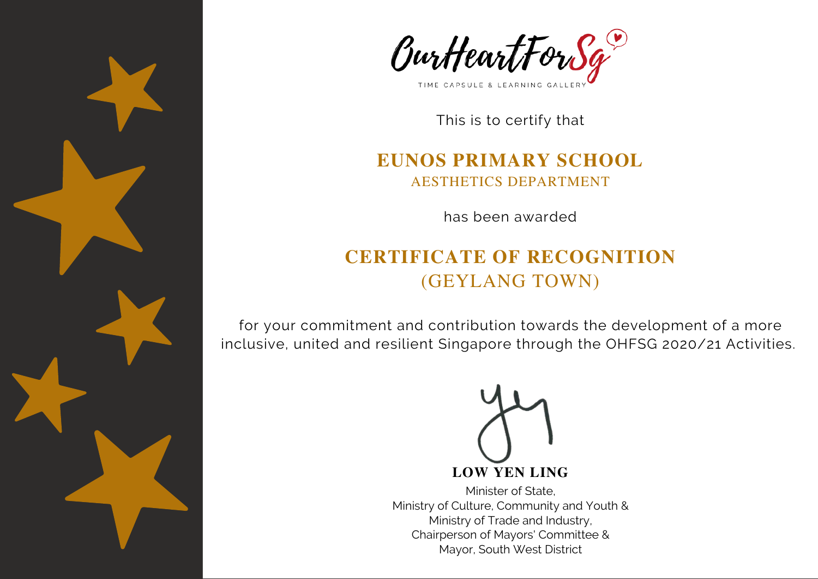



#### **EUNOS PRIMARY SCHOOL** AESTHETICS DEPARTMENT

has been awarded

# **CERTIFICATE OF RECOGNITION** (GEYLANG TOWN)

for your commitment and contribution towards the development of a more inclusive, united and resilient Singapore through the OHFSG 2020/21 Activities.

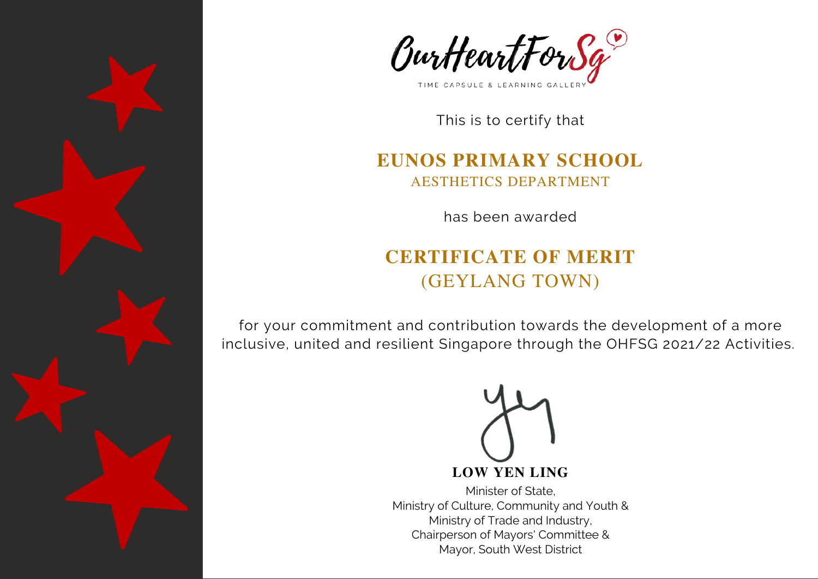



#### **EUNOS PRIMARY SCHOOL** AESTHETICS DEPARTMENT

has been awarded

# **CERTIFICATE OF MERIT** (GEYLANG TOWN)

for your commitment and contribution towards the development of a more inclusive, united and resilient Singapore through the OHFSG 2021/22 Activities.

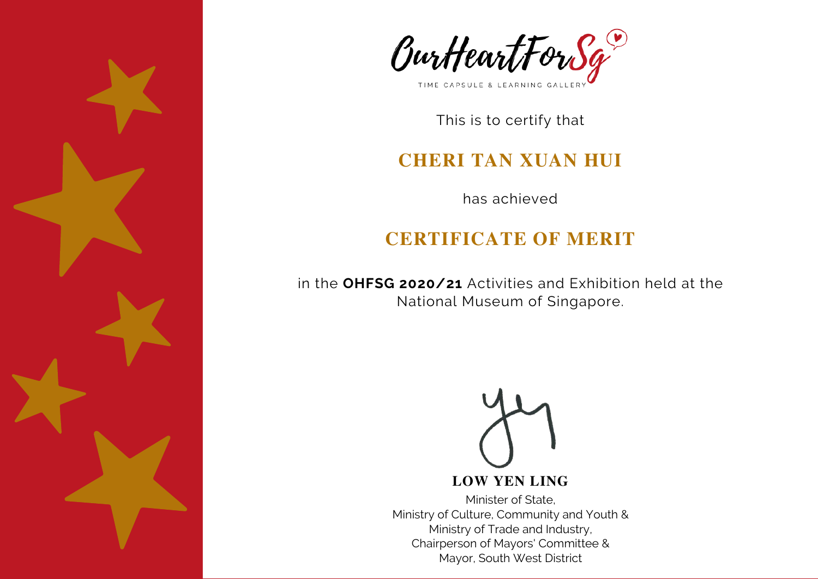



### **CHERI TAN XUAN HUI**

has achieved

## **CERTIFICATE OF MERIT**

in the **OHFSG 2020/21** Activities and Exhibition held at the National Museum of Singapore.



#### **LOW YEN LING**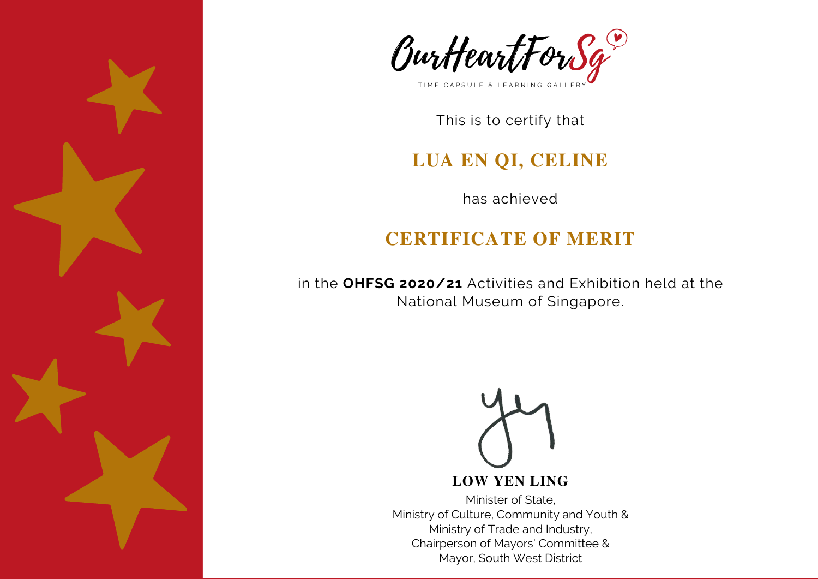



### **LUA EN QI, CELINE**

has achieved

## **CERTIFICATE OF MERIT**

in the **OHFSG 2020/21** Activities and Exhibition held at the National Museum of Singapore.



#### **LOW YEN LING**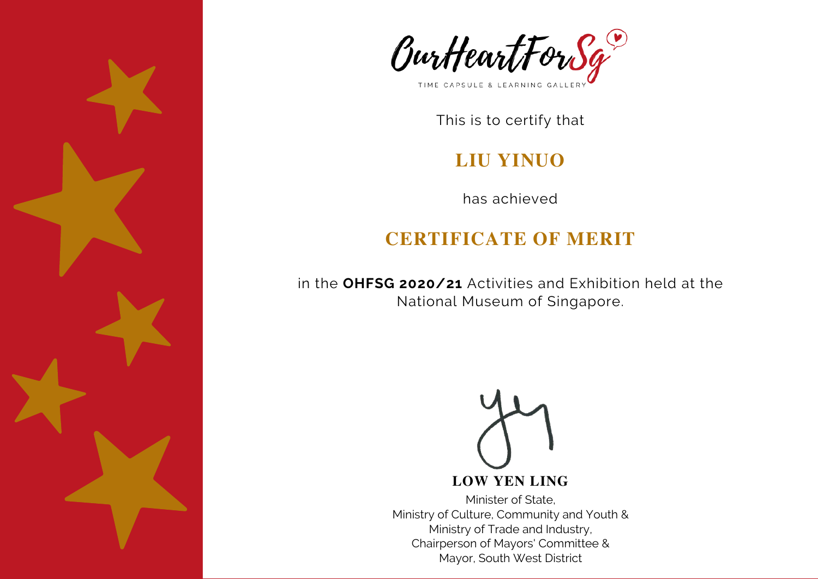



## **LIU YINUO**

has achieved

# **CERTIFICATE OF MERIT**

in the **OHFSG 2020/21** Activities and Exhibition held at the National Museum of Singapore.

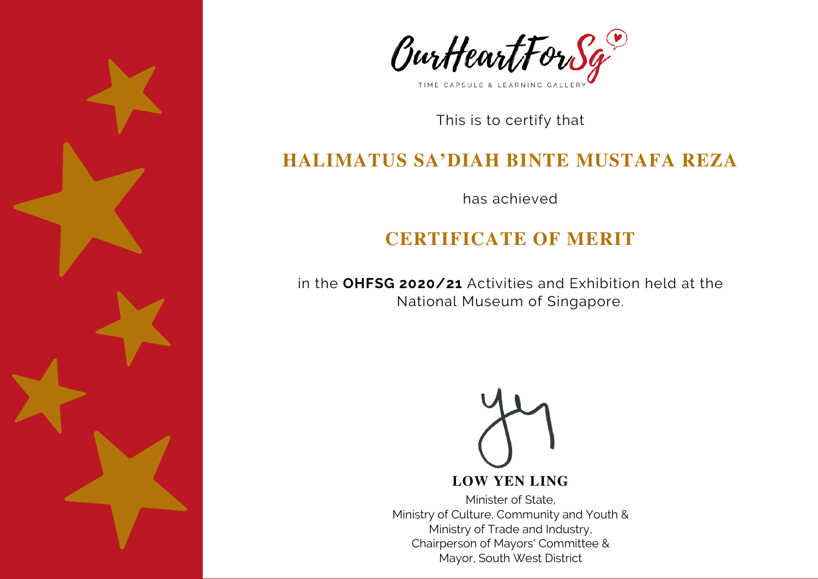



## **HALIMATUS SA'DIAH BINTE MUSTAFA REZA**

has achieved

## **CERTIFICATE OF MERIT**

in the **OHFSG 2020/21** Activities and Exhibition held at the National Museum of Singapore.



#### **LOW YEN LING**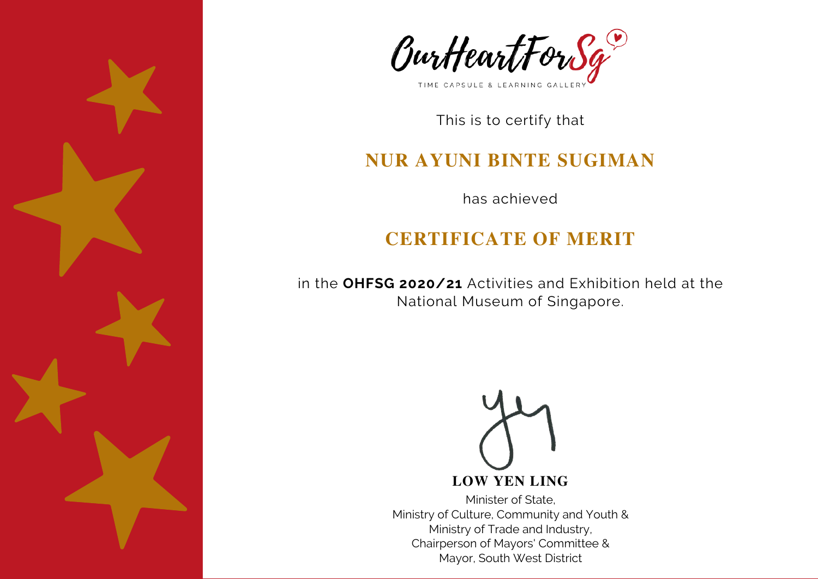



## **NUR AYUNI BINTE SUGIMAN**

has achieved

## **CERTIFICATE OF MERIT**

in the **OHFSG 2020/21** Activities and Exhibition held at the National Museum of Singapore.

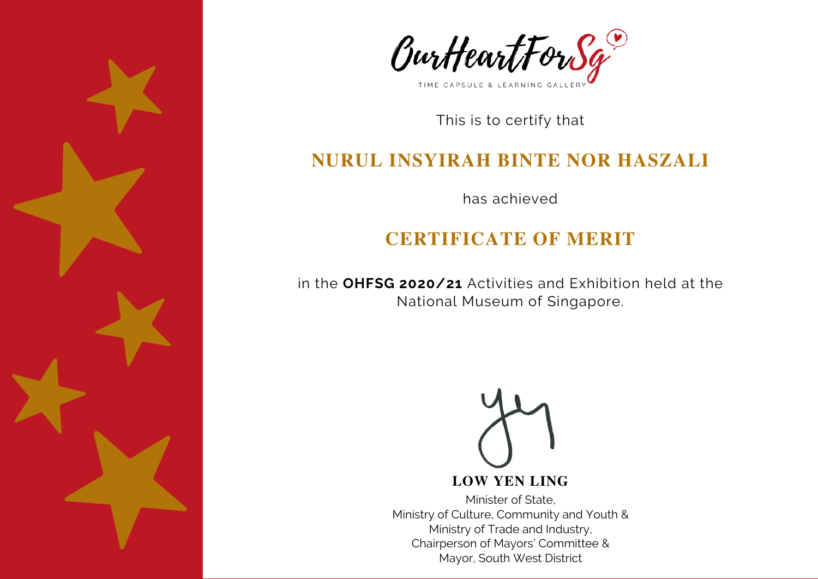



### **NURUL INSYIRAH BINTE NOR HASZALI**

has achieved

## **CERTIFICATE OF MERIT**

in the **OHFSG 2020/21** Activities and Exhibition held at the National Museum of Singapore.



#### **LOW YEN LING**